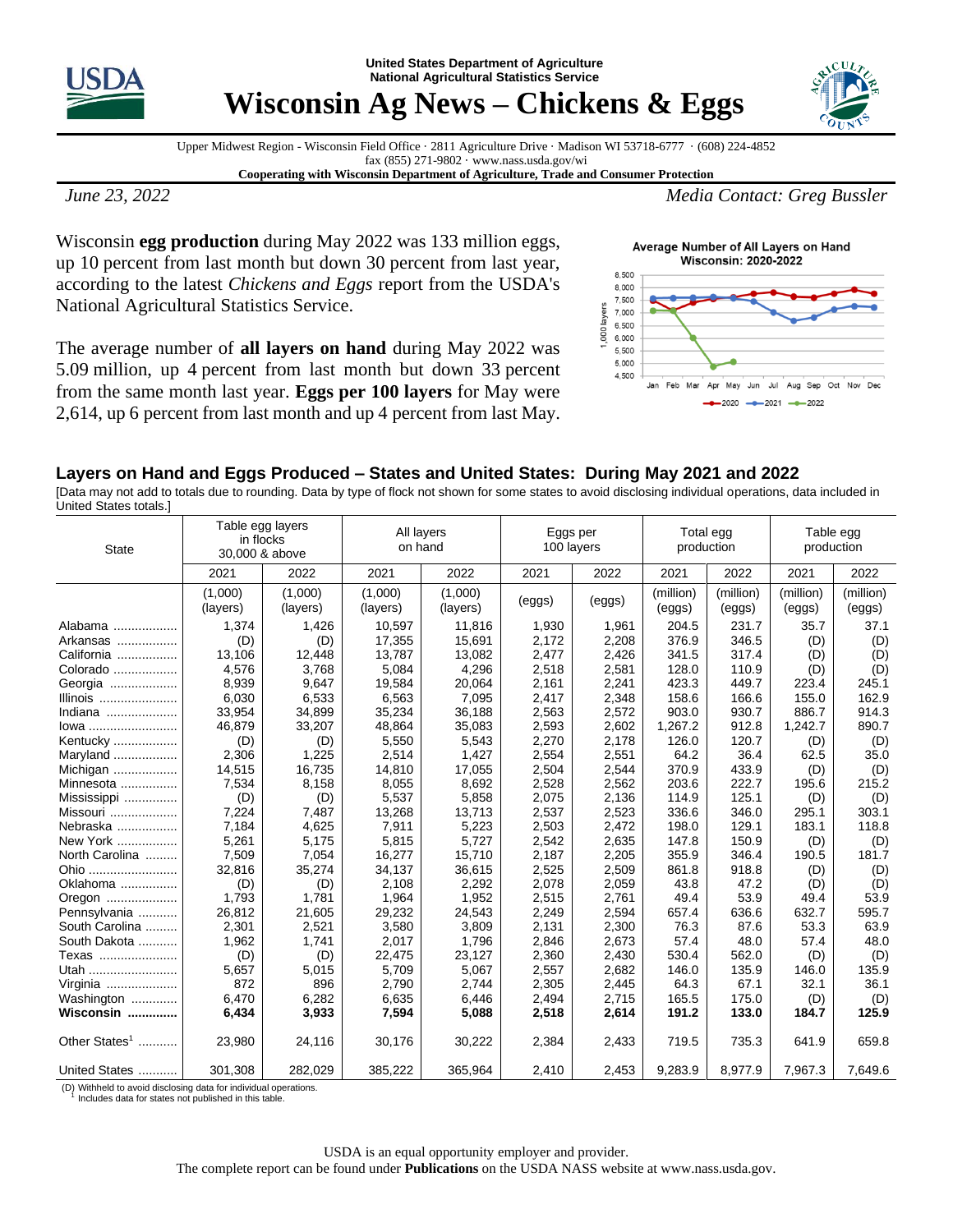

**United States Department of Agriculture National Agricultural Statistics Service**



**Wisconsin Ag News – Chickens & Eggs** 

Upper Midwest Region - Wisconsin Field Office · 2811 Agriculture Drive · Madison WI 53718-6777 · (608) 224-4852 fax (855) 271-9802 · www.nass.usda.gov/wi

**Cooperating with Wisconsin Department of Agriculture, Trade and Consumer Protection**

Wisconsin **egg production** during May 2022 was 133 million eggs, up 10 percent from last month but down 30 percent from last year, according to the latest *Chickens and Eggs* report from the USDA's National Agricultural Statistics Service.

The average number of **all layers on hand** during May 2022 was 5.09 million, up 4 percent from last month but down 33 percent from the same month last year. **Eggs per 100 layers** for May were 2,614, up 6 percent from last month and up 4 percent from last May.

*June 23, 2022 Media Contact: Greg Bussler*

Average Number of All Layers on Hand **Wisconsin: 2020-2022** 



## **Layers on Hand and Eggs Produced – States and United States: During May 2021 and 2022**

[Data may not add to totals due to rounding. Data by type of flock not shown for some states to avoid disclosing individual operations, data included in United States totals.]

| <b>State</b>              | Table egg layers<br>in flocks<br>30,000 & above |                     | All layers<br>on hand |                     | Eggs per<br>100 layers |        | Total egg<br>production |                     | Table egg<br>production |                     |
|---------------------------|-------------------------------------------------|---------------------|-----------------------|---------------------|------------------------|--------|-------------------------|---------------------|-------------------------|---------------------|
|                           | 2021                                            | 2022                | 2021                  | 2022                | 2021                   | 2022   | 2021                    | 2022                | 2021                    | 2022                |
|                           | (1,000)<br>(layers)                             | (1,000)<br>(layers) | (1,000)<br>(layers)   | (1,000)<br>(layers) | (eggs)                 | (eggs) | (million)<br>(eggs)     | (million)<br>(eggs) | (million)<br>(eggs)     | (million)<br>(eggs) |
| Alabama                   | 1,374                                           | 1,426               | 10,597                | 11,816              | 1,930                  | 1,961  | 204.5                   | 231.7               | 35.7                    | 37.1                |
| Arkansas                  | (D)                                             | (D)                 | 17,355                | 15,691              | 2,172                  | 2,208  | 376.9                   | 346.5               | (D)                     | (D)                 |
| California                | 13,106                                          | 12,448              | 13,787                | 13,082              | 2,477                  | 2,426  | 341.5                   | 317.4               | (D)                     | (D)                 |
| Colorado                  | 4,576                                           | 3,768               | 5,084                 | 4,296               | 2,518                  | 2,581  | 128.0                   | 110.9               | (D)                     | (D)                 |
| Georgia                   | 8,939                                           | 9,647               | 19,584                | 20,064              | 2,161                  | 2,241  | 423.3                   | 449.7               | 223.4                   | 245.1               |
| Illinois                  | 6,030                                           | 6,533               | 6,563                 | 7,095               | 2,417                  | 2,348  | 158.6                   | 166.6               | 155.0                   | 162.9               |
| Indiana                   | 33,954                                          | 34,899              | 35,234                | 36,188              | 2,563                  | 2,572  | 903.0                   | 930.7               | 886.7                   | 914.3               |
| lowa                      | 46,879                                          | 33,207              | 48,864                | 35,083              | 2,593                  | 2,602  | 1,267.2                 | 912.8               | 1,242.7                 | 890.7               |
| Kentucky                  | (D)                                             | (D)                 | 5,550                 | 5,543               | 2,270                  | 2,178  | 126.0                   | 120.7               | (D)                     | (D)                 |
| Maryland                  | 2,306                                           | 1,225               | 2,514                 | 1,427               | 2,554                  | 2,551  | 64.2                    | 36.4                | 62.5                    | 35.0                |
| Michigan                  | 14,515                                          | 16,735              | 14,810                | 17,055              | 2,504                  | 2,544  | 370.9                   | 433.9               | (D)                     | (D)                 |
| Minnesota                 | 7,534                                           | 8,158               | 8,055                 | 8,692               | 2,528                  | 2,562  | 203.6                   | 222.7               | 195.6                   | 215.2               |
| Mississippi               | (D)                                             | (D)                 | 5,537                 | 5,858               | 2,075                  | 2,136  | 114.9                   | 125.1               | (D)                     | (D)                 |
| Missouri                  | 7,224                                           | 7,487               | 13,268                | 13,713              | 2,537                  | 2,523  | 336.6                   | 346.0               | 295.1                   | 303.1               |
| Nebraska                  | 7,184                                           | 4,625               | 7,911                 | 5,223               | 2,503                  | 2,472  | 198.0                   | 129.1               | 183.1                   | 118.8               |
| New York                  | 5,261                                           | 5,175               | 5,815                 | 5,727               | 2,542                  | 2,635  | 147.8                   | 150.9               | (D)                     | (D)                 |
| North Carolina            | 7,509                                           | 7,054               | 16,277                | 15,710              | 2,187                  | 2,205  | 355.9                   | 346.4               | 190.5                   | 181.7               |
| Ohio                      | 32,816                                          | 35,274              | 34,137                | 36,615              | 2,525                  | 2,509  | 861.8                   | 918.8               | (D)                     | (D)                 |
| Oklahoma                  | (D)                                             | (D)                 | 2,108                 | 2,292               | 2,078                  | 2,059  | 43.8                    | 47.2                | (D)                     | (D)                 |
| Oregon                    | 1,793                                           | 1,781               | 1,964                 | 1,952               | 2,515                  | 2,761  | 49.4                    | 53.9                | 49.4                    | 53.9                |
| Pennsylvania              | 26,812                                          | 21,605              | 29,232                | 24,543              | 2,249                  | 2,594  | 657.4                   | 636.6               | 632.7                   | 595.7               |
| South Carolina            | 2,301                                           | 2,521               | 3,580                 | 3,809               | 2,131                  | 2,300  | 76.3                    | 87.6                | 53.3                    | 63.9                |
| South Dakota              | 1,962                                           | 1,741               | 2,017                 | 1,796               | 2,846                  | 2,673  | 57.4                    | 48.0                | 57.4                    | 48.0                |
| Texas                     | (D)                                             | (D)                 | 22,475                | 23,127              | 2,360                  | 2,430  | 530.4                   | 562.0               | (D)                     | (D)                 |
| Utah                      | 5,657                                           | 5,015               | 5,709                 | 5,067               | 2,557                  | 2,682  | 146.0                   | 135.9               | 146.0                   | 135.9               |
| Virginia                  | 872                                             | 896                 | 2,790                 | 2.744               | 2,305                  | 2,445  | 64.3                    | 67.1                | 32.1                    | 36.1                |
| Washington                | 6,470                                           | 6,282               | 6,635                 | 6,446               | 2,494                  | 2,715  | 165.5                   | 175.0               | (D)                     | (D)                 |
| Wisconsin                 | 6,434                                           | 3,933               | 7,594                 | 5,088               | 2,518                  | 2,614  | 191.2                   | 133.0               | 184.7                   | 125.9               |
| Other States <sup>1</sup> | 23,980                                          | 24,116              | 30,176                | 30,222              | 2,384                  | 2,433  | 719.5                   | 735.3               | 641.9                   | 659.8               |
| United States             | 301,308                                         | 282,029             | 385,222               | 365,964             | 2,410                  | 2,453  | 9,283.9                 | 8,977.9             | 7,967.3                 | 7,649.6             |

(D) Withheld to avoid disclosing data for individual operations. 1 Includes data for states not published in this table.